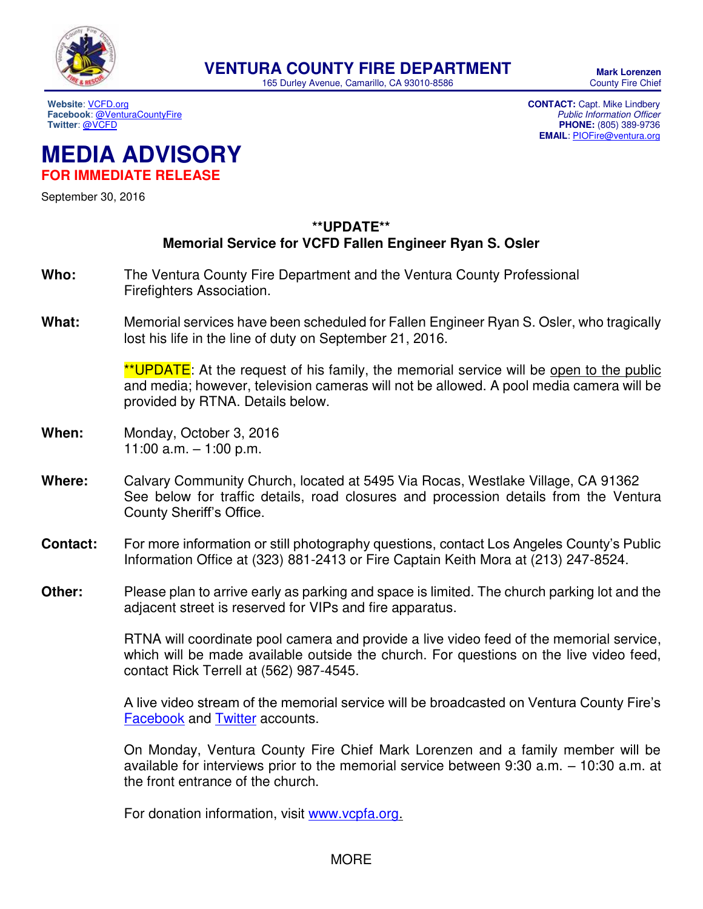

**Website**[: VCFD.org](http://vcfd.org/) **CONTACT:** Capt. Mike Lindbery Facebook[: @VenturaCountyFire](https://www.facebook.com/venturacountyfire)<br>Twitter: @VCFD

**PHONE:** (805) 389-9736 **EMAIL**: [PIOFire@ventura.org](mailto:PIOFire@ventura.org)

## **MEDIA ADVISORY FOR IMMEDIATE RELEASE**

September 30, 2016

## **\*\*UPDATE\*\* Memorial Service for VCFD Fallen Engineer Ryan S. Osler**

- **Who:** The Ventura County Fire Department and the Ventura County Professional Firefighters Association.
- **What:** Memorial services have been scheduled for Fallen Engineer Ryan S. Osler, who tragically lost his life in the line of duty on September 21, 2016.

\*\*UPDATE: At the request of his family, the memorial service will be open to the public and media; however, television cameras will not be allowed. A pool media camera will be provided by RTNA. Details below.

- **When:** Monday, October 3, 2016 11:00 a.m. – 1:00 p.m.
- **Where:** Calvary Community Church, located at 5495 Via Rocas, Westlake Village, CA 91362 See below for traffic details, road closures and procession details from the Ventura County Sheriff's Office.
- **Contact:** For more information or still photography questions, contact Los Angeles County's Public Information Office at (323) 881-2413 or Fire Captain Keith Mora at (213) 247-8524.
- **Other:** Please plan to arrive early as parking and space is limited. The church parking lot and the adjacent street is reserved for VIPs and fire apparatus.

RTNA will coordinate pool camera and provide a live video feed of the memorial service, which will be made available outside the church. For questions on the live video feed, contact Rick Terrell at (562) 987-4545.

A live video stream of the memorial service will be broadcasted on Ventura County Fire's **[Facebook](https://www.facebook.com/venturacountyfire/) and [Twitter](https://twitter.com/vcfd) accounts.** 

 On Monday, Ventura County Fire Chief Mark Lorenzen and a family member will be available for interviews prior to the memorial service between 9:30 a.m. – 10:30 a.m. at the front entrance of the church.

For donation information, visit [www.vcpfa.org.](http://www.vcpfa.org/)